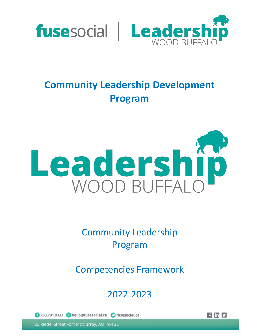

# **Community Leadership Development Program**



Community Leadership Program

Competencies Framework

## 2022-2023

1 780.791.9333 @ hello@fusesocial.ca @ fusesocial.ca

 $\frac{1}{2}$  in  $\frac{1}{2}$ 

20 Riedel Street Fort McMurray, AB T9H 3E1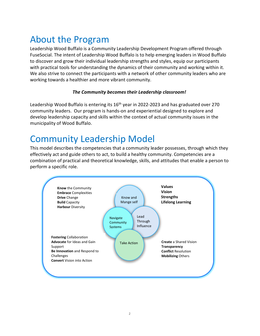## About the Program

Leadership Wood Buffalo is a Community Leadership Development Program offered through FuseSocial. The intent of Leadership Wood Buffalo is to help emerging leaders in Wood Buffalo to discover and grow their individual leadership strengths and styles, equip our participants with practical tools for understanding the dynamics of their community and working within it. We also strive to connect the participants with a network of other community leaders who are working towards a healthier and more vibrant community.

#### *The Community becomes their Leadership classroom!*

Leadership Wood Buffalo is entering its 16<sup>th</sup> year in 2022-2023 and has graduated over 270 community leaders. Our program is hands-on and experiential designed to explore and develop leadership capacity and skills within the context of actual community issues in the municipality of Wood Buffalo.

## Community Leadership Model

This model describes the competencies that a community leader possesses, through which they effectively act and guide others to act, to build a healthy community. Competencies are a combination of practical and theoretical knowledge, skills, and attitudes that enable a person to perform a specific role.

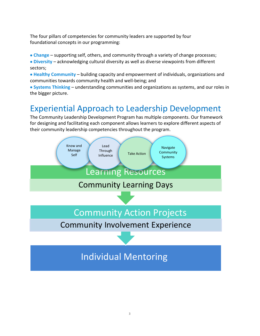The four pillars of competencies for community leaders are supported by four foundational concepts in our programming:

- **Change** supporting self, others, and community through a variety of change processes;
- **Diversity** acknowledging cultural diversity as well as diverse viewpoints from different sectors;

• **Healthy Community** – building capacity and empowerment of individuals, organizations and communities towards community health and well-being; and

• **Systems Thinking** – understanding communities and organizations as systems, and our roles in the bigger picture.

## Experiential Approach to Leadership Development

The Community Leadership Development Program has multiple components. Our framework for designing and facilitating each component allows learners to explore different aspects of their community leadership competencies throughout the program.

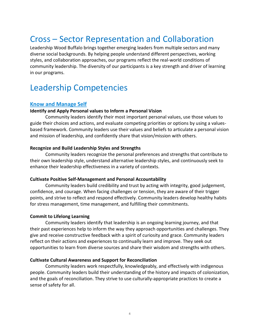## Cross – Sector Representation and Collaboration

Leadership Wood Buffalo brings together emerging leaders from multiple sectors and many diverse social backgrounds. By helping people understand different perspectives, working styles, and collaboration approaches, our programs reflect the real-world conditions of community leadership. The diversity of our participants is a key strength and driver of learning in our programs.

### Leadership Competencies

#### **Know and Manage Self**

#### **Identify and Apply Personal values to Inform a Personal Vision**

Community leaders identify their most important personal values, use those values to guide their choices and actions, and evaluate competing priorities or options by using a valuesbased framework. Community leaders use their values and beliefs to articulate a personal vision and mission of leadership, and confidently share that vision/mission with others.

#### **Recognize and Build Leadership Styles and Strengths**

Community leaders recognize the personal preferences and strengths that contribute to their own leadership style, understand alternative leadership styles, and continuously seek to enhance their leadership effectiveness in a variety of contexts.

#### **Cultivate Positive Self-Management and Personal Accountability**

Community leaders build credibility and trust by acting with integrity, good judgement, confidence, and courage. When facing challenges or tension, they are aware of their trigger points, and strive to reflect and respond effectively. Community leaders develop healthy habits for stress management, time management, and fulfilling their commitments.

#### **Commit to Lifelong Learning**

Community leaders identify that leadership is an ongoing learning journey, and that their past experiences help to inform the way they approach opportunities and challenges. They give and receive constructive feedback with a spirit of curiosity and grace. Community leaders reflect on their actions and experiences to continually learn and improve. They seek out opportunities to learn from diverse sources and share their wisdom and strengths with others.

#### **Cultivate Cultural Awareness and Support for Reconciliation**

Community leaders work respectfully, knowledgeably, and effectively with indigenous people. Community leaders build their understanding of the history and impacts of colonization, and the goals of reconciliation. They strive to use culturally-appropriate practices to create a sense of safety for all.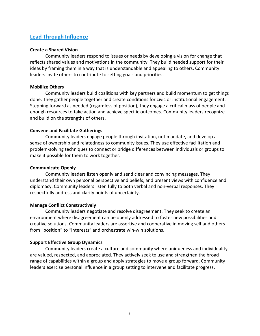#### **Lead Through Influence**

#### **Create a Shared Vision**

Community leaders respond to issues or needs by developing a vision for change that reflects shared values and motivations in the community. They build needed support for their ideas by framing them in a way that is understandable and appealing to others. Community leaders invite others to contribute to setting goals and priorities.

#### **Mobilize Others**

Community leaders build coalitions with key partners and build momentum to get things done. They gather people together and create conditions for civic or institutional engagement. Stepping forward as needed (regardless of position), they engage a critical mass of people and enough resources to take action and achieve specific outcomes. Community leaders recognize and build on the strengths of others.

#### **Convene and Facilitate Gatherings**

Community leaders engage people through invitation, not mandate, and develop a sense of ownership and relatedness to community issues. They use effective facilitation and problem-solving techniques to connect or bridge differences between individuals or groups to make it possible for them to work together.

#### **Communicate Openly**

Community leaders listen openly and send clear and convincing messages. They understand their own personal perspective and beliefs, and present views with confidence and diplomacy. Community leaders listen fully to both verbal and non-verbal responses. They respectfully address and clarify points of uncertainty.

#### **Manage Conflict Constructively**

Community leaders negotiate and resolve disagreement. They seek to create an environment where disagreement can be openly addressed to foster new possibilities and creative solutions. Community leaders are assertive and cooperative in moving self and others from "position" to "interests" and orchestrate win-win solutions.

#### **Support Effective Group Dynamics**

Community leaders create a culture and community where uniqueness and individuality are valued, respected, and appreciated. They actively seek to use and strengthen the broad range of capabilities within a group and apply strategies to move a group forward. Community leaders exercise personal influence in a group setting to intervene and facilitate progress.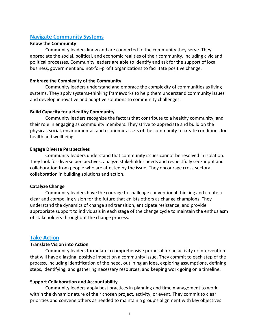#### **Navigate Community Systems**

#### **Know the Community**

Community leaders know and are connected to the community they serve. They appreciate the social, political, and economic realities of their community, including civic and political processes. Community leaders are able to identify and ask for the support of local business, government and not-for-profit organizations to facilitate positive change.

#### **Embrace the Complexity of the Community**

Community leaders understand and embrace the complexity of communities as living systems. They apply systems-thinking frameworks to help them understand community issues and develop innovative and adaptive solutions to community challenges.

#### **Build Capacity for a Healthy Community**

Community leaders recognize the factors that contribute to a healthy community, and their role in engaging as community members. They strive to appreciate and build on the physical, social, environmental, and economic assets of the community to create conditions for health and wellbeing.

#### **Engage Diverse Perspectives**

Community leaders understand that community issues cannot be resolved in isolation. They look for diverse perspectives, analyze stakeholder needs and respectfully seek input and collaboration from people who are affected by the issue. They encourage cross-sectoral collaboration in building solutions and action.

#### **Catalyze Change**

Community leaders have the courage to challenge conventional thinking and create a clear and compelling vision for the future that enlists others as change champions. They understand the dynamics of change and transition, anticipate resistance, and provide appropriate support to individuals in each stage of the change cycle to maintain the enthusiasm of stakeholders throughout the change process.

#### **Take Action**

#### **Translate Vision into Action**

Community leaders formulate a comprehensive proposal for an activity or intervention that will have a lasting, positive impact on a community issue. They commit to each step of the process, including identification of the need, outlining an idea, exploring assumptions, defining steps, identifying, and gathering necessary resources, and keeping work going on a timeline.

#### **Support Collaboration and Accountability**

Community leaders apply best practices in planning and time management to work within the dynamic nature of their chosen project, activity, or event. They commit to clear priorities and convene others as needed to maintain a group's alignment with key objectives.